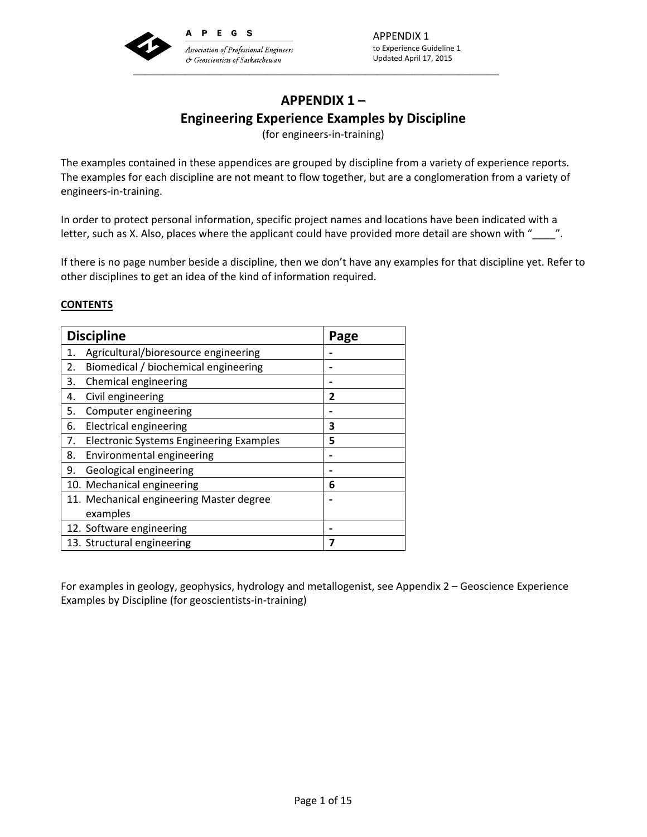

# **APPENDIX 1 – Engineering Experience Examples by Discipline**

(for engineers‐in‐training)

The examples contained in these appendices are grouped by discipline from a variety of experience reports. The examples for each discipline are not meant to flow together, but are a conglomeration from a variety of engineers‐in‐training.

In order to protect personal information, specific project names and locations have been indicated with a letter, such as X. Also, places where the applicant could have provided more detail are shown with "\_\_\_\_\_".

If there is no page number beside a discipline, then we don't have any examples for that discipline yet. Refer to other disciplines to get an idea of the kind of information required.

# **CONTENTS**

| <b>Discipline</b>                                    |  | Page |
|------------------------------------------------------|--|------|
| Agricultural/bioresource engineering<br>1.           |  |      |
| Biomedical / biochemical engineering<br>2.           |  |      |
| 3.<br>Chemical engineering                           |  |      |
| Civil engineering<br>4.                              |  | 2    |
| Computer engineering<br>5.                           |  |      |
| <b>Electrical engineering</b><br>6.                  |  | 3    |
| <b>Electronic Systems Engineering Examples</b><br>7. |  | 5    |
| Environmental engineering<br>8.                      |  |      |
| Geological engineering<br>9.                         |  |      |
| 10. Mechanical engineering                           |  | 6    |
| 11. Mechanical engineering Master degree             |  |      |
| examples                                             |  |      |
| 12. Software engineering                             |  |      |
| 13. Structural engineering                           |  | 7    |

For examples in geology, geophysics, hydrology and metallogenist, see Appendix 2 – Geoscience Experience Examples by Discipline (for geoscientists‐in‐training)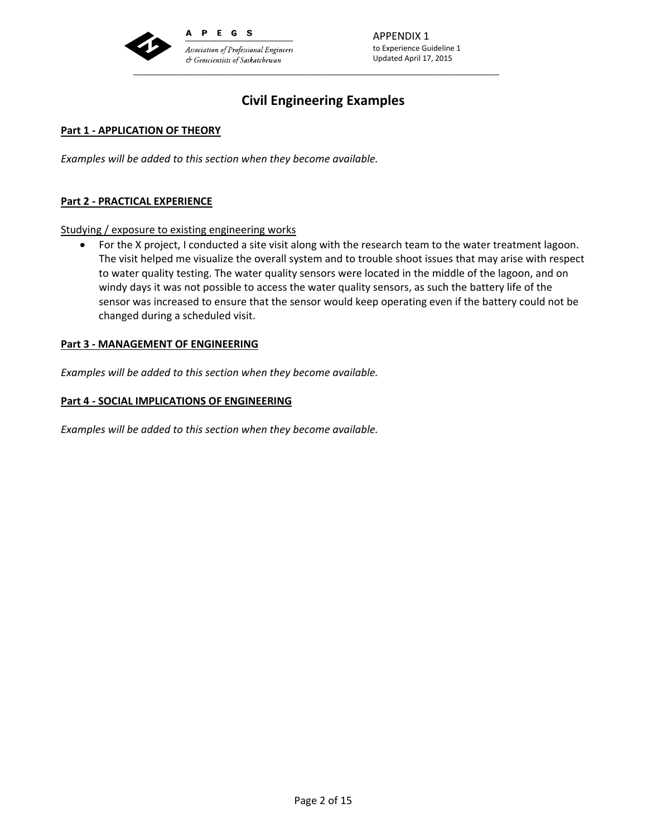

APPENDIX 1 to Experience Guideline 1 Updated April 17, 2015

# **Civil Engineering Examples**

## **Part 1 ‐ APPLICATION OF THEORY**

*Examples will be added to this section when they become available.*

## **Part 2 ‐ PRACTICAL EXPERIENCE**

Studying / exposure to existing engineering works

 For the X project, I conducted a site visit along with the research team to the water treatment lagoon. The visit helped me visualize the overall system and to trouble shoot issues that may arise with respect to water quality testing. The water quality sensors were located in the middle of the lagoon, and on windy days it was not possible to access the water quality sensors, as such the battery life of the sensor was increased to ensure that the sensor would keep operating even if the battery could not be changed during a scheduled visit.

#### **Part 3 ‐ MANAGEMENT OF ENGINEERING**

*Examples will be added to this section when they become available.*

## **Part 4 ‐ SOCIAL IMPLICATIONS OF ENGINEERING**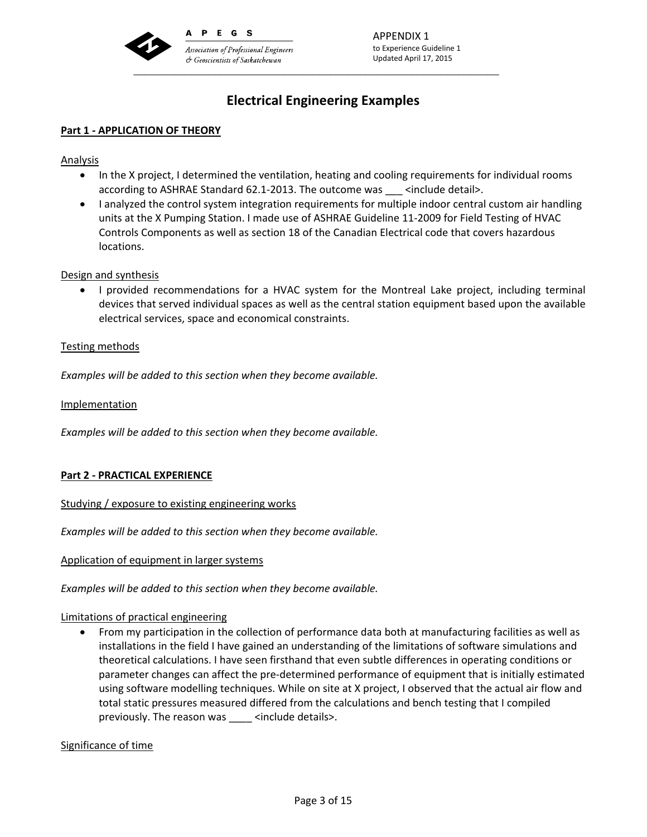

# **Electrical Engineering Examples**

# **Part 1 ‐ APPLICATION OF THEORY**

Analysis

- In the X project, I determined the ventilation, heating and cooling requirements for individual rooms according to ASHRAE Standard 62.1‐2013. The outcome was \_\_\_ <include detail>.
- I analyzed the control system integration requirements for multiple indoor central custom air handling units at the X Pumping Station. I made use of ASHRAE Guideline 11‐2009 for Field Testing of HVAC Controls Components as well as section 18 of the Canadian Electrical code that covers hazardous locations.

#### Design and synthesis

 I provided recommendations for a HVAC system for the Montreal Lake project, including terminal devices that served individual spaces as well as the central station equipment based upon the available electrical services, space and economical constraints.

## Testing methods

*Examples will be added to this section when they become available.*

Implementation

*Examples will be added to this section when they become available.*

# **Part 2 ‐ PRACTICAL EXPERIENCE**

Studying / exposure to existing engineering works

*Examples will be added to this section when they become available.*

Application of equipment in larger systems

*Examples will be added to this section when they become available.*

#### Limitations of practical engineering

 From my participation in the collection of performance data both at manufacturing facilities as well as installations in the field I have gained an understanding of the limitations of software simulations and theoretical calculations. I have seen firsthand that even subtle differences in operating conditions or parameter changes can affect the pre‐determined performance of equipment that is initially estimated using software modelling techniques. While on site at X project, I observed that the actual air flow and total static pressures measured differed from the calculations and bench testing that I compiled previously. The reason was <br>  $\le$  <include details>.

Significance of time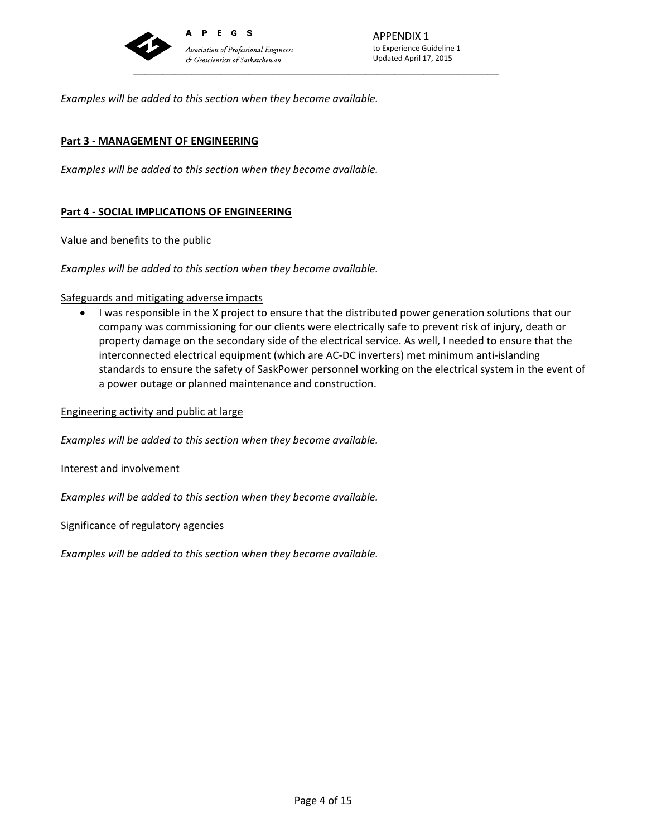

*Examples will be added to this section when they become available.*

## **Part 3 ‐ MANAGEMENT OF ENGINEERING**

*Examples will be added to this section when they become available.*

## **Part 4 ‐ SOCIAL IMPLICATIONS OF ENGINEERING**

Value and benefits to the public

*Examples will be added to this section when they become available.*

#### Safeguards and mitigating adverse impacts

 I was responsible in the X project to ensure that the distributed power generation solutions that our company was commissioning for our clients were electrically safe to prevent risk of injury, death or property damage on the secondary side of the electrical service. As well, I needed to ensure that the interconnected electrical equipment (which are AC‐DC inverters) met minimum anti‐islanding standards to ensure the safety of SaskPower personnel working on the electrical system in the event of a power outage or planned maintenance and construction.

Engineering activity and public at large

*Examples will be added to this section when they become available.*

Interest and involvement

*Examples will be added to this section when they become available.*

Significance of regulatory agencies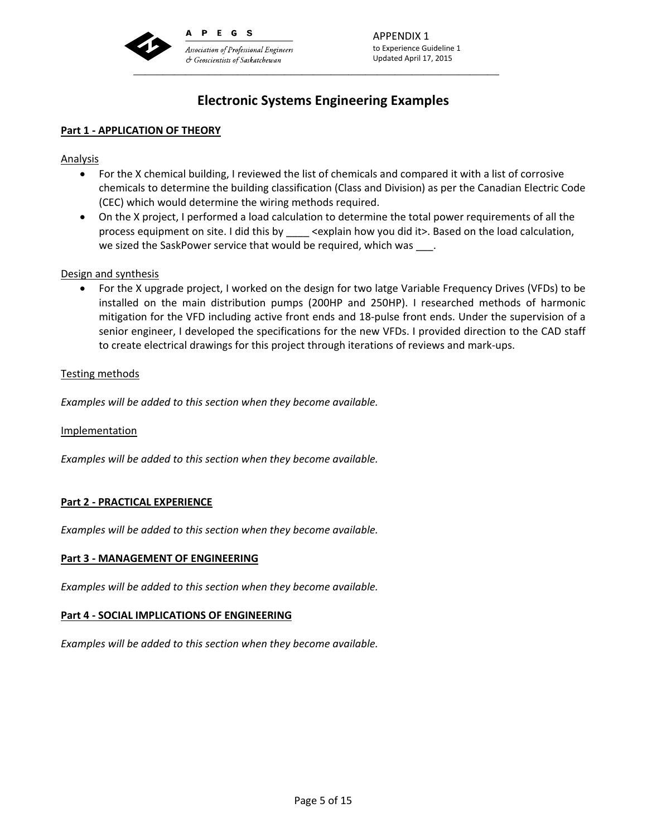

# **Electronic Systems Engineering Examples**

# **Part 1 ‐ APPLICATION OF THEORY**

Analysis

- For the X chemical building, I reviewed the list of chemicals and compared it with a list of corrosive chemicals to determine the building classification (Class and Division) as per the Canadian Electric Code (CEC) which would determine the wiring methods required.
- On the X project, I performed a load calculation to determine the total power requirements of all the process equipment on site. I did this by explain how you did it>. Based on the load calculation, we sized the SaskPower service that would be required, which was  $\qquad$ .

## Design and synthesis

 For the X upgrade project, I worked on the design for two latge Variable Frequency Drives (VFDs) to be installed on the main distribution pumps (200HP and 250HP). I researched methods of harmonic mitigation for the VFD including active front ends and 18‐pulse front ends. Under the supervision of a senior engineer, I developed the specifications for the new VFDs. I provided direction to the CAD staff to create electrical drawings for this project through iterations of reviews and mark‐ups.

## Testing methods

*Examples will be added to this section when they become available.*

Implementation

*Examples will be added to this section when they become available.*

# **Part 2 ‐ PRACTICAL EXPERIENCE**

*Examples will be added to this section when they become available.*

#### **Part 3 ‐ MANAGEMENT OF ENGINEERING**

*Examples will be added to this section when they become available.*

#### **Part 4 ‐ SOCIAL IMPLICATIONS OF ENGINEERING**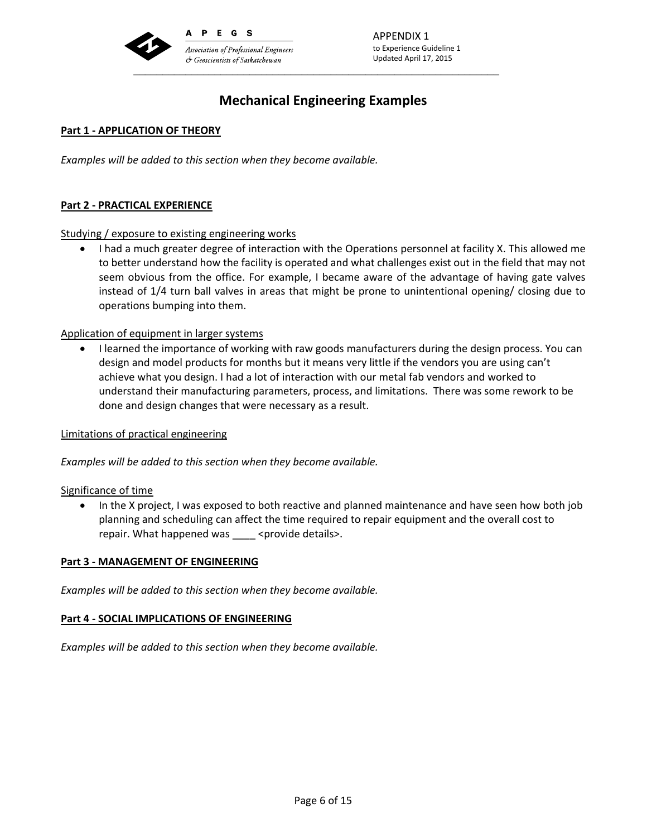

APPENDIX 1 to Experience Guideline 1 Updated April 17, 2015

# **Mechanical Engineering Examples**

## **Part 1 ‐ APPLICATION OF THEORY**

*Examples will be added to this section when they become available.*

#### **Part 2 ‐ PRACTICAL EXPERIENCE**

Studying / exposure to existing engineering works

• I had a much greater degree of interaction with the Operations personnel at facility X. This allowed me to better understand how the facility is operated and what challenges exist out in the field that may not seem obvious from the office. For example, I became aware of the advantage of having gate valves instead of 1/4 turn ball valves in areas that might be prone to unintentional opening/ closing due to operations bumping into them.

## Application of equipment in larger systems

 I learned the importance of working with raw goods manufacturers during the design process. You can design and model products for months but it means very little if the vendors you are using can't achieve what you design. I had a lot of interaction with our metal fab vendors and worked to understand their manufacturing parameters, process, and limitations. There was some rework to be done and design changes that were necessary as a result.

#### Limitations of practical engineering

*Examples will be added to this section when they become available.*

Significance of time

• In the X project, I was exposed to both reactive and planned maintenance and have seen how both job planning and scheduling can affect the time required to repair equipment and the overall cost to repair. What happened was \_\_\_\_ <provide details>.

#### **Part 3 ‐ MANAGEMENT OF ENGINEERING**

*Examples will be added to this section when they become available.*

#### **Part 4 ‐ SOCIAL IMPLICATIONS OF ENGINEERING**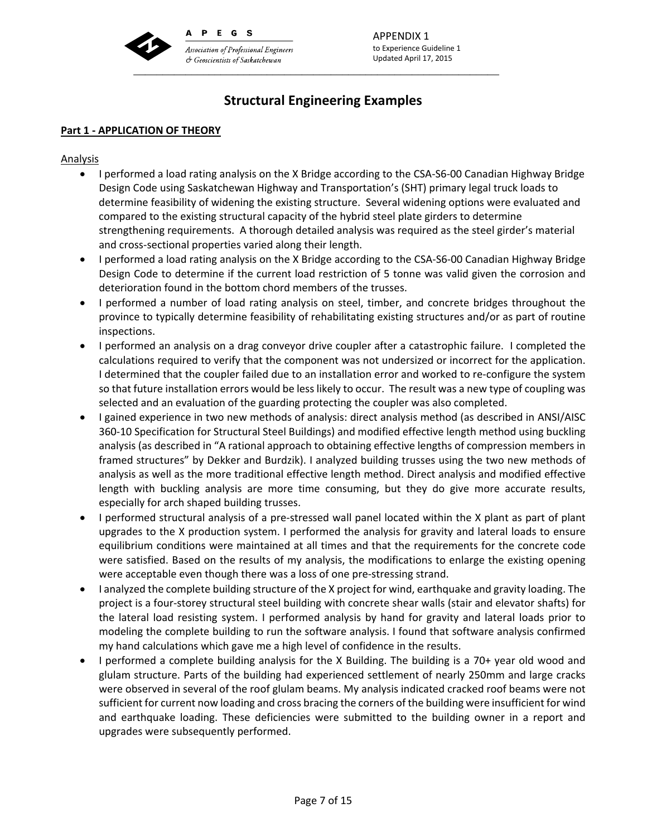

APPENDIX 1 to Experience Guideline 1 Updated April 17, 2015

# **Structural Engineering Examples**

## **Part 1 ‐ APPLICATION OF THEORY**

#### Analysis

- I performed a load rating analysis on the X Bridge according to the CSA-S6-00 Canadian Highway Bridge Design Code using Saskatchewan Highway and Transportation's (SHT) primary legal truck loads to determine feasibility of widening the existing structure. Several widening options were evaluated and compared to the existing structural capacity of the hybrid steel plate girders to determine strengthening requirements. A thorough detailed analysis was required as the steel girder's material and cross‐sectional properties varied along their length.
- I performed a load rating analysis on the X Bridge according to the CSA-S6-00 Canadian Highway Bridge Design Code to determine if the current load restriction of 5 tonne was valid given the corrosion and deterioration found in the bottom chord members of the trusses.
- I performed a number of load rating analysis on steel, timber, and concrete bridges throughout the province to typically determine feasibility of rehabilitating existing structures and/or as part of routine inspections.
- I performed an analysis on a drag conveyor drive coupler after a catastrophic failure. I completed the calculations required to verify that the component was not undersized or incorrect for the application. I determined that the coupler failed due to an installation error and worked to re‐configure the system so that future installation errors would be less likely to occur. The result was a new type of coupling was selected and an evaluation of the guarding protecting the coupler was also completed.
- I gained experience in two new methods of analysis: direct analysis method (as described in ANSI/AISC 360‐10 Specification for Structural Steel Buildings) and modified effective length method using buckling analysis (as described in "A rational approach to obtaining effective lengths of compression members in framed structures" by Dekker and Burdzik). I analyzed building trusses using the two new methods of analysis as well as the more traditional effective length method. Direct analysis and modified effective length with buckling analysis are more time consuming, but they do give more accurate results, especially for arch shaped building trusses.
- I performed structural analysis of a pre-stressed wall panel located within the X plant as part of plant upgrades to the X production system. I performed the analysis for gravity and lateral loads to ensure equilibrium conditions were maintained at all times and that the requirements for the concrete code were satisfied. Based on the results of my analysis, the modifications to enlarge the existing opening were acceptable even though there was a loss of one pre-stressing strand.
- I analyzed the complete building structure of the X project for wind, earthquake and gravity loading. The project is a four‐storey structural steel building with concrete shear walls (stair and elevator shafts) for the lateral load resisting system. I performed analysis by hand for gravity and lateral loads prior to modeling the complete building to run the software analysis. I found that software analysis confirmed my hand calculations which gave me a high level of confidence in the results.
- I performed a complete building analysis for the X Building. The building is a 70+ year old wood and glulam structure. Parts of the building had experienced settlement of nearly 250mm and large cracks were observed in several of the roof glulam beams. My analysis indicated cracked roof beams were not sufficient for current now loading and cross bracing the corners of the building were insufficient for wind and earthquake loading. These deficiencies were submitted to the building owner in a report and upgrades were subsequently performed.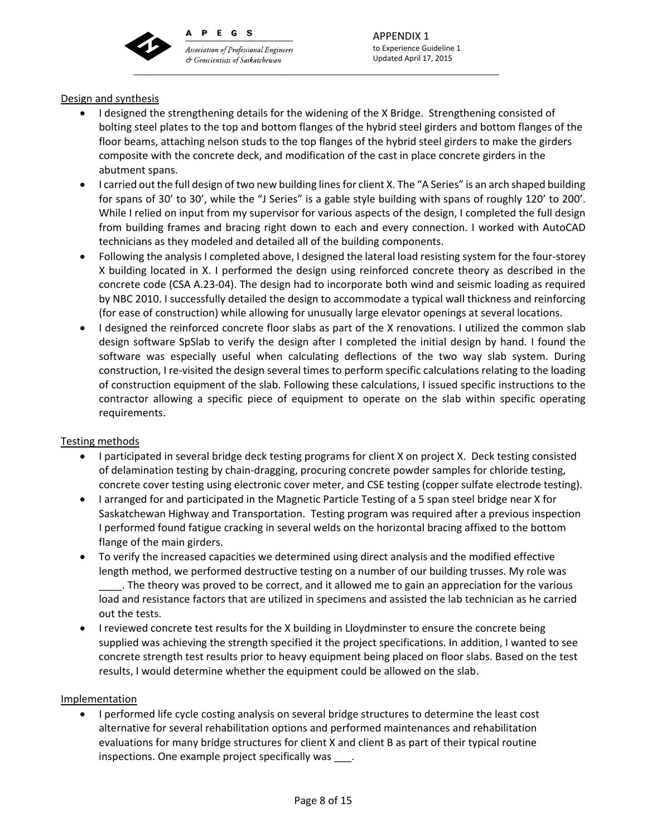

PEGS A

**Association of Professional Engineers** & Geoscientists of Saskatchewan \_\_\_\_\_\_\_\_\_\_\_\_\_\_\_\_\_\_\_\_\_\_\_\_\_\_\_\_\_\_\_\_\_\_\_\_\_\_\_\_\_\_\_\_\_\_\_\_\_\_\_\_\_\_\_\_\_\_\_\_\_\_\_

APPENDIX 1 to Experience Guideline 1 Updated April 17, 2015

# Design and synthesis

- I designed the strengthening details for the widening of the X Bridge. Strengthening consisted of bolting steel plates to the top and bottom flanges of the hybrid steel girders and bottom flanges of the floor beams, attaching nelson studs to the top flanges of the hybrid steel girders to make the girders composite with the concrete deck, and modification of the cast in place concrete girders in the abutment spans.
- I carried out the full design of two new building lines for client X. The "A Series" is an arch shaped building for spans of 30' to 30', while the "J Series" is a gable style building with spans of roughly 120' to 200'. While I relied on input from my supervisor for various aspects of the design, I completed the full design from building frames and bracing right down to each and every connection. I worked with AutoCAD technicians as they modeled and detailed all of the building components.
- Following the analysis I completed above, I designed the lateral load resisting system for the four‐storey X building located in X. I performed the design using reinforced concrete theory as described in the concrete code (CSA A.23‐04). The design had to incorporate both wind and seismic loading as required by NBC 2010. I successfully detailed the design to accommodate a typical wall thickness and reinforcing (for ease of construction) while allowing for unusually large elevator openings at several locations.
- I designed the reinforced concrete floor slabs as part of the X renovations. I utilized the common slab design software SpSlab to verify the design after I completed the initial design by hand. I found the software was especially useful when calculating deflections of the two way slab system. During construction, I re‐visited the design several times to perform specific calculations relating to the loading of construction equipment of the slab. Following these calculations, I issued specific instructions to the contractor allowing a specific piece of equipment to operate on the slab within specific operating requirements.

# Testing methods

- I participated in several bridge deck testing programs for client X on project X. Deck testing consisted of delamination testing by chain‐dragging, procuring concrete powder samples for chloride testing, concrete cover testing using electronic cover meter, and CSE testing (copper sulfate electrode testing).
- I arranged for and participated in the Magnetic Particle Testing of a 5 span steel bridge near X for Saskatchewan Highway and Transportation. Testing program was required after a previous inspection I performed found fatigue cracking in several welds on the horizontal bracing affixed to the bottom flange of the main girders.
- To verify the increased capacities we determined using direct analysis and the modified effective length method, we performed destructive testing on a number of our building trusses. My role was \_\_\_\_. The theory was proved to be correct, and it allowed me to gain an appreciation for the various load and resistance factors that are utilized in specimens and assisted the lab technician as he carried out the tests.
- I reviewed concrete test results for the X building in Lloydminster to ensure the concrete being supplied was achieving the strength specified it the project specifications. In addition, I wanted to see concrete strength test results prior to heavy equipment being placed on floor slabs. Based on the test results, I would determine whether the equipment could be allowed on the slab.

# Implementation

• I performed life cycle costing analysis on several bridge structures to determine the least cost alternative for several rehabilitation options and performed maintenances and rehabilitation evaluations for many bridge structures for client X and client B as part of their typical routine inspections. One example project specifically was .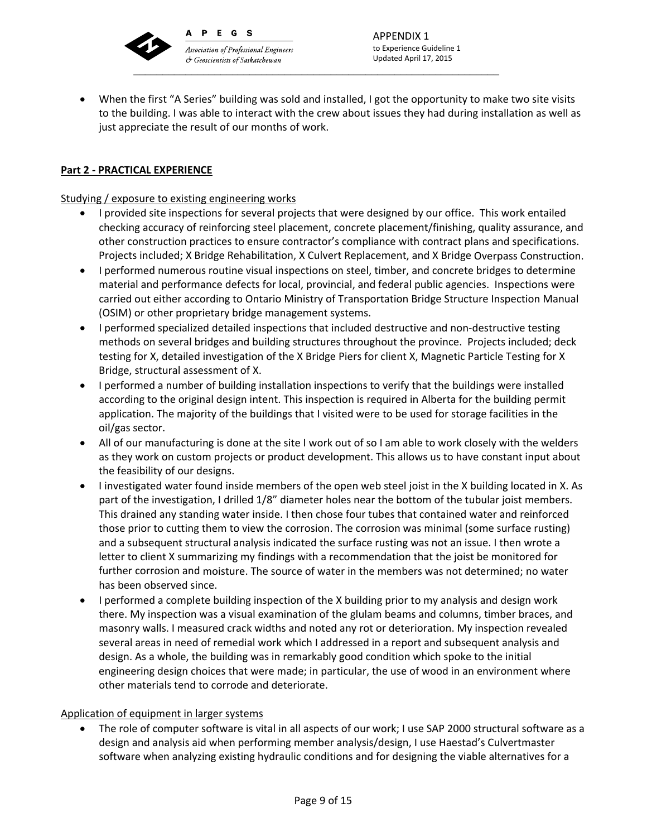

& Geoscientists of Saskatchewan

\_\_\_\_\_\_\_\_\_\_\_\_\_\_\_\_\_\_\_\_\_\_\_\_\_\_\_\_\_\_\_\_\_\_\_\_\_\_\_\_\_\_\_\_\_\_\_\_\_\_\_\_\_\_\_\_\_\_\_\_\_\_\_

 When the first "A Series" building was sold and installed, I got the opportunity to make two site visits to the building. I was able to interact with the crew about issues they had during installation as well as just appreciate the result of our months of work.

# **Part 2 ‐ PRACTICAL EXPERIENCE**

Studying / exposure to existing engineering works

- I provided site inspections for several projects that were designed by our office. This work entailed checking accuracy of reinforcing steel placement, concrete placement/finishing, quality assurance, and other construction practices to ensure contractor's compliance with contract plans and specifications. Projects included; X Bridge Rehabilitation, X Culvert Replacement, and X Bridge Overpass Construction.
- I performed numerous routine visual inspections on steel, timber, and concrete bridges to determine material and performance defects for local, provincial, and federal public agencies. Inspections were carried out either according to Ontario Ministry of Transportation Bridge Structure Inspection Manual (OSIM) or other proprietary bridge management systems.
- I performed specialized detailed inspections that included destructive and non-destructive testing methods on several bridges and building structures throughout the province. Projects included; deck testing for X, detailed investigation of the X Bridge Piers for client X, Magnetic Particle Testing for X Bridge, structural assessment of X.
- I performed a number of building installation inspections to verify that the buildings were installed according to the original design intent. This inspection is required in Alberta for the building permit application. The majority of the buildings that I visited were to be used for storage facilities in the oil/gas sector.
- All of our manufacturing is done at the site I work out of so I am able to work closely with the welders as they work on custom projects or product development. This allows us to have constant input about the feasibility of our designs.
- I investigated water found inside members of the open web steel joist in the X building located in X. As part of the investigation, I drilled 1/8" diameter holes near the bottom of the tubular joist members. This drained any standing water inside. I then chose four tubes that contained water and reinforced those prior to cutting them to view the corrosion. The corrosion was minimal (some surface rusting) and a subsequent structural analysis indicated the surface rusting was not an issue. I then wrote a letter to client X summarizing my findings with a recommendation that the joist be monitored for further corrosion and moisture. The source of water in the members was not determined; no water has been observed since.
- I performed a complete building inspection of the X building prior to my analysis and design work there. My inspection was a visual examination of the glulam beams and columns, timber braces, and masonry walls. I measured crack widths and noted any rot or deterioration. My inspection revealed several areas in need of remedial work which I addressed in a report and subsequent analysis and design. As a whole, the building was in remarkably good condition which spoke to the initial engineering design choices that were made; in particular, the use of wood in an environment where other materials tend to corrode and deteriorate.

# Application of equipment in larger systems

 The role of computer software is vital in all aspects of our work; I use SAP 2000 structural software as a design and analysis aid when performing member analysis/design, I use Haestad's Culvertmaster software when analyzing existing hydraulic conditions and for designing the viable alternatives for a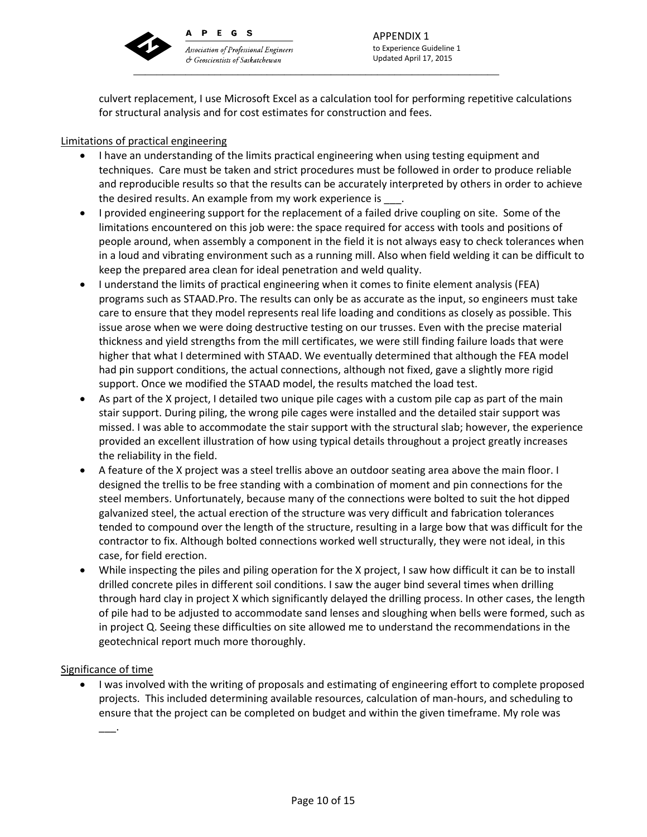

P E G S  $\mathbf{A}$ **Association of Professional Engineers** 

& Geoscientists of Saskatchewan

\_\_\_\_\_\_\_\_\_\_\_\_\_\_\_\_\_\_\_\_\_\_\_\_\_\_\_\_\_\_\_\_\_\_\_\_\_\_\_\_\_\_\_\_\_\_\_\_\_\_\_\_\_\_\_\_\_\_\_\_\_\_\_

APPENDIX 1 to Experience Guideline 1 Updated April 17, 2015

culvert replacement, I use Microsoft Excel as a calculation tool for performing repetitive calculations for structural analysis and for cost estimates for construction and fees.

# Limitations of practical engineering

- I have an understanding of the limits practical engineering when using testing equipment and techniques. Care must be taken and strict procedures must be followed in order to produce reliable and reproducible results so that the results can be accurately interpreted by others in order to achieve the desired results. An example from my work experience is  $\blacksquare$ .
- I provided engineering support for the replacement of a failed drive coupling on site. Some of the limitations encountered on this job were: the space required for access with tools and positions of people around, when assembly a component in the field it is not always easy to check tolerances when in a loud and vibrating environment such as a running mill. Also when field welding it can be difficult to keep the prepared area clean for ideal penetration and weld quality.
- I understand the limits of practical engineering when it comes to finite element analysis (FEA) programs such as STAAD.Pro. The results can only be as accurate as the input, so engineers must take care to ensure that they model represents real life loading and conditions as closely as possible. This issue arose when we were doing destructive testing on our trusses. Even with the precise material thickness and yield strengths from the mill certificates, we were still finding failure loads that were higher that what I determined with STAAD. We eventually determined that although the FEA model had pin support conditions, the actual connections, although not fixed, gave a slightly more rigid support. Once we modified the STAAD model, the results matched the load test.
- As part of the X project, I detailed two unique pile cages with a custom pile cap as part of the main stair support. During piling, the wrong pile cages were installed and the detailed stair support was missed. I was able to accommodate the stair support with the structural slab; however, the experience provided an excellent illustration of how using typical details throughout a project greatly increases the reliability in the field.
- A feature of the X project was a steel trellis above an outdoor seating area above the main floor. I designed the trellis to be free standing with a combination of moment and pin connections for the steel members. Unfortunately, because many of the connections were bolted to suit the hot dipped galvanized steel, the actual erection of the structure was very difficult and fabrication tolerances tended to compound over the length of the structure, resulting in a large bow that was difficult for the contractor to fix. Although bolted connections worked well structurally, they were not ideal, in this case, for field erection.
- While inspecting the piles and piling operation for the X project, I saw how difficult it can be to install drilled concrete piles in different soil conditions. I saw the auger bind several times when drilling through hard clay in project X which significantly delayed the drilling process. In other cases, the length of pile had to be adjusted to accommodate sand lenses and sloughing when bells were formed, such as in project Q. Seeing these difficulties on site allowed me to understand the recommendations in the geotechnical report much more thoroughly.

# Significance of time

 I was involved with the writing of proposals and estimating of engineering effort to complete proposed projects. This included determining available resources, calculation of man‐hours, and scheduling to ensure that the project can be completed on budget and within the given timeframe. My role was

\_\_\_.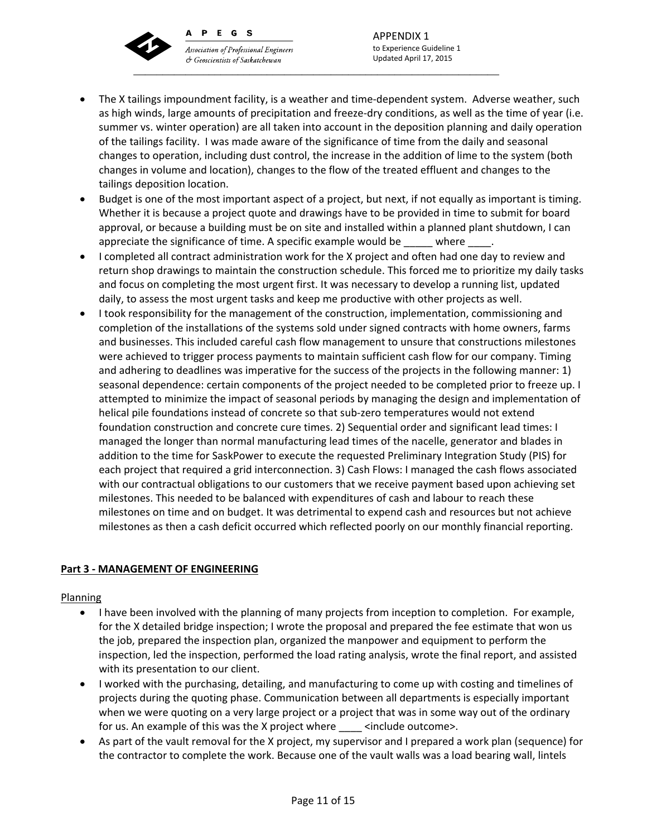PEGS  $\mathbf{A}$ 



Association of Professional Engineers & Geoscientists of Saskatchewan \_\_\_\_\_\_\_\_\_\_\_\_\_\_\_\_\_\_\_\_\_\_\_\_\_\_\_\_\_\_\_\_\_\_\_\_\_\_\_\_\_\_\_\_\_\_\_\_\_\_\_\_\_\_\_\_\_\_\_\_\_\_\_

APPENDIX 1 to Experience Guideline 1 Updated April 17, 2015

- The X tailings impoundment facility, is a weather and time‐dependent system. Adverse weather, such as high winds, large amounts of precipitation and freeze-dry conditions, as well as the time of year (i.e. summer vs. winter operation) are all taken into account in the deposition planning and daily operation of the tailings facility. I was made aware of the significance of time from the daily and seasonal changes to operation, including dust control, the increase in the addition of lime to the system (both changes in volume and location), changes to the flow of the treated effluent and changes to the tailings deposition location.
- Budget is one of the most important aspect of a project, but next, if not equally as important is timing. Whether it is because a project quote and drawings have to be provided in time to submit for board approval, or because a building must be on site and installed within a planned plant shutdown, I can appreciate the significance of time. A specific example would be  $\qquad$  where  $\qquad$ .
- I completed all contract administration work for the X project and often had one day to review and return shop drawings to maintain the construction schedule. This forced me to prioritize my daily tasks and focus on completing the most urgent first. It was necessary to develop a running list, updated daily, to assess the most urgent tasks and keep me productive with other projects as well.
- I took responsibility for the management of the construction, implementation, commissioning and completion of the installations of the systems sold under signed contracts with home owners, farms and businesses. This included careful cash flow management to unsure that constructions milestones were achieved to trigger process payments to maintain sufficient cash flow for our company. Timing and adhering to deadlines was imperative for the success of the projects in the following manner: 1) seasonal dependence: certain components of the project needed to be completed prior to freeze up. I attempted to minimize the impact of seasonal periods by managing the design and implementation of helical pile foundations instead of concrete so that sub‐zero temperatures would not extend foundation construction and concrete cure times. 2) Sequential order and significant lead times: I managed the longer than normal manufacturing lead times of the nacelle, generator and blades in addition to the time for SaskPower to execute the requested Preliminary Integration Study (PIS) for each project that required a grid interconnection. 3) Cash Flows: I managed the cash flows associated with our contractual obligations to our customers that we receive payment based upon achieving set milestones. This needed to be balanced with expenditures of cash and labour to reach these milestones on time and on budget. It was detrimental to expend cash and resources but not achieve milestones as then a cash deficit occurred which reflected poorly on our monthly financial reporting.

# **Part 3 ‐ MANAGEMENT OF ENGINEERING**

# Planning

- I have been involved with the planning of many projects from inception to completion. For example, for the X detailed bridge inspection; I wrote the proposal and prepared the fee estimate that won us the job, prepared the inspection plan, organized the manpower and equipment to perform the inspection, led the inspection, performed the load rating analysis, wrote the final report, and assisted with its presentation to our client.
- I worked with the purchasing, detailing, and manufacturing to come up with costing and timelines of projects during the quoting phase. Communication between all departments is especially important when we were quoting on a very large project or a project that was in some way out of the ordinary for us. An example of this was the X project where  $\sim$  <include outcome>.
- As part of the vault removal for the X project, my supervisor and I prepared a work plan (sequence) for the contractor to complete the work. Because one of the vault walls was a load bearing wall, lintels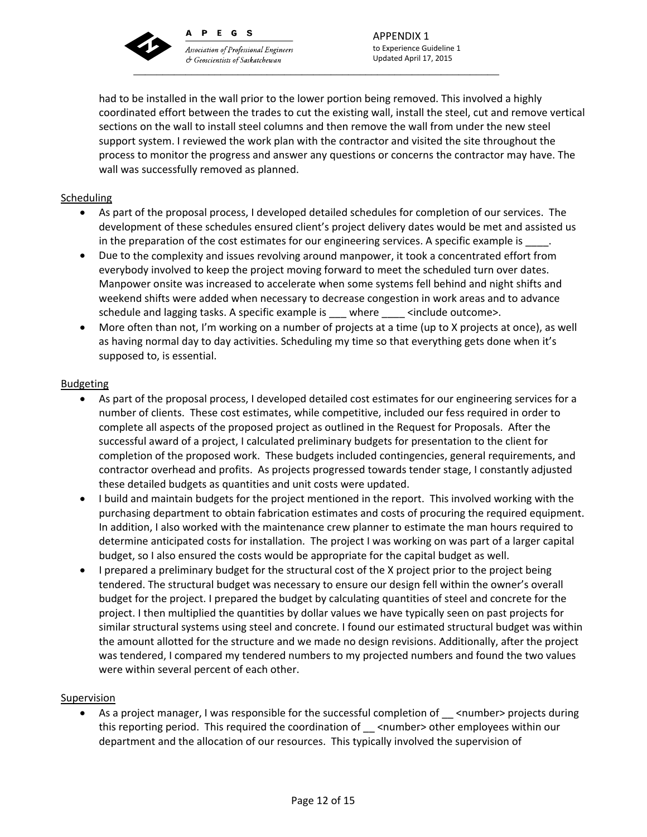

A

PEGS

**Association of Professional Engineers** & Geoscientists of Saskatchewan \_\_\_\_\_\_\_\_\_\_\_\_\_\_\_\_\_\_\_\_\_\_\_\_\_\_\_\_\_\_\_\_\_\_\_\_\_\_\_\_\_\_\_\_\_\_\_\_\_\_\_\_\_\_\_\_\_\_\_\_\_\_\_

APPENDIX 1 to Experience Guideline 1 Updated April 17, 2015

had to be installed in the wall prior to the lower portion being removed. This involved a highly coordinated effort between the trades to cut the existing wall, install the steel, cut and remove vertical sections on the wall to install steel columns and then remove the wall from under the new steel support system. I reviewed the work plan with the contractor and visited the site throughout the process to monitor the progress and answer any questions or concerns the contractor may have. The wall was successfully removed as planned.

# **Scheduling**

- As part of the proposal process, I developed detailed schedules for completion of our services. The development of these schedules ensured client's project delivery dates would be met and assisted us in the preparation of the cost estimates for our engineering services. A specific example is \_
- Due to the complexity and issues revolving around manpower, it took a concentrated effort from everybody involved to keep the project moving forward to meet the scheduled turn over dates. Manpower onsite was increased to accelerate when some systems fell behind and night shifts and weekend shifts were added when necessary to decrease congestion in work areas and to advance schedule and lagging tasks. A specific example is \_\_\_ where \_\_\_\_ <include outcome>.
- More often than not, I'm working on a number of projects at a time (up to X projects at once), as well as having normal day to day activities. Scheduling my time so that everything gets done when it's supposed to, is essential.

## Budgeting

- As part of the proposal process, I developed detailed cost estimates for our engineering services for a number of clients. These cost estimates, while competitive, included our fess required in order to complete all aspects of the proposed project as outlined in the Request for Proposals. After the successful award of a project, I calculated preliminary budgets for presentation to the client for completion of the proposed work. These budgets included contingencies, general requirements, and contractor overhead and profits. As projects progressed towards tender stage, I constantly adjusted these detailed budgets as quantities and unit costs were updated.
- I build and maintain budgets for the project mentioned in the report. This involved working with the purchasing department to obtain fabrication estimates and costs of procuring the required equipment. In addition, I also worked with the maintenance crew planner to estimate the man hours required to determine anticipated costs for installation. The project I was working on was part of a larger capital budget, so I also ensured the costs would be appropriate for the capital budget as well.
- I prepared a preliminary budget for the structural cost of the X project prior to the project being tendered. The structural budget was necessary to ensure our design fell within the owner's overall budget for the project. I prepared the budget by calculating quantities of steel and concrete for the project. I then multiplied the quantities by dollar values we have typically seen on past projects for similar structural systems using steel and concrete. I found our estimated structural budget was within the amount allotted for the structure and we made no design revisions. Additionally, after the project was tendered, I compared my tendered numbers to my projected numbers and found the two values were within several percent of each other.

#### Supervision

As a project manager, I was responsible for the successful completion of  $\_\_$  <number> projects during this reporting period. This required the coordination of \_\_ <number> other employees within our department and the allocation of our resources. This typically involved the supervision of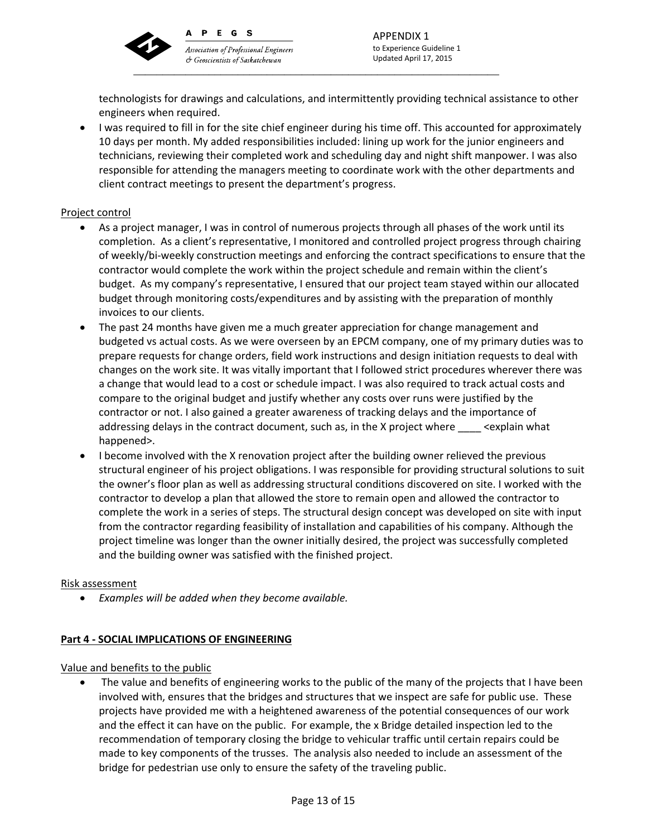

PEGS  $\mathbf{A}$ 

Association of Professional Engineers & Geoscientists of Saskatchewan \_\_\_\_\_\_\_\_\_\_\_\_\_\_\_\_\_\_\_\_\_\_\_\_\_\_\_\_\_\_\_\_\_\_\_\_\_\_\_\_\_\_\_\_\_\_\_\_\_\_\_\_\_\_\_\_\_\_\_\_\_\_\_

technologists for drawings and calculations, and intermittently providing technical assistance to other engineers when required.

 I was required to fill in for the site chief engineer during his time off. This accounted for approximately 10 days per month. My added responsibilities included: lining up work for the junior engineers and technicians, reviewing their completed work and scheduling day and night shift manpower. I was also responsible for attending the managers meeting to coordinate work with the other departments and client contract meetings to present the department's progress.

# Project control

- As a project manager, I was in control of numerous projects through all phases of the work until its completion. As a client's representative, I monitored and controlled project progress through chairing of weekly/bi‐weekly construction meetings and enforcing the contract specifications to ensure that the contractor would complete the work within the project schedule and remain within the client's budget. As my company's representative, I ensured that our project team stayed within our allocated budget through monitoring costs/expenditures and by assisting with the preparation of monthly invoices to our clients.
- The past 24 months have given me a much greater appreciation for change management and budgeted vs actual costs. As we were overseen by an EPCM company, one of my primary duties was to prepare requests for change orders, field work instructions and design initiation requests to deal with changes on the work site. It was vitally important that I followed strict procedures wherever there was a change that would lead to a cost or schedule impact. I was also required to track actual costs and compare to the original budget and justify whether any costs over runs were justified by the contractor or not. I also gained a greater awareness of tracking delays and the importance of addressing delays in the contract document, such as, in the X project where \_\_\_\_ <explain what happened>.
- I become involved with the X renovation project after the building owner relieved the previous structural engineer of his project obligations. I was responsible for providing structural solutions to suit the owner's floor plan as well as addressing structural conditions discovered on site. I worked with the contractor to develop a plan that allowed the store to remain open and allowed the contractor to complete the work in a series of steps. The structural design concept was developed on site with input from the contractor regarding feasibility of installation and capabilities of his company. Although the project timeline was longer than the owner initially desired, the project was successfully completed and the building owner was satisfied with the finished project.

# Risk assessment

*Examples will be added when they become available.*

# **Part 4 ‐ SOCIAL IMPLICATIONS OF ENGINEERING**

# Value and benefits to the public

 The value and benefits of engineering works to the public of the many of the projects that I have been involved with, ensures that the bridges and structures that we inspect are safe for public use. These projects have provided me with a heightened awareness of the potential consequences of our work and the effect it can have on the public. For example, the x Bridge detailed inspection led to the recommendation of temporary closing the bridge to vehicular traffic until certain repairs could be made to key components of the trusses. The analysis also needed to include an assessment of the bridge for pedestrian use only to ensure the safety of the traveling public.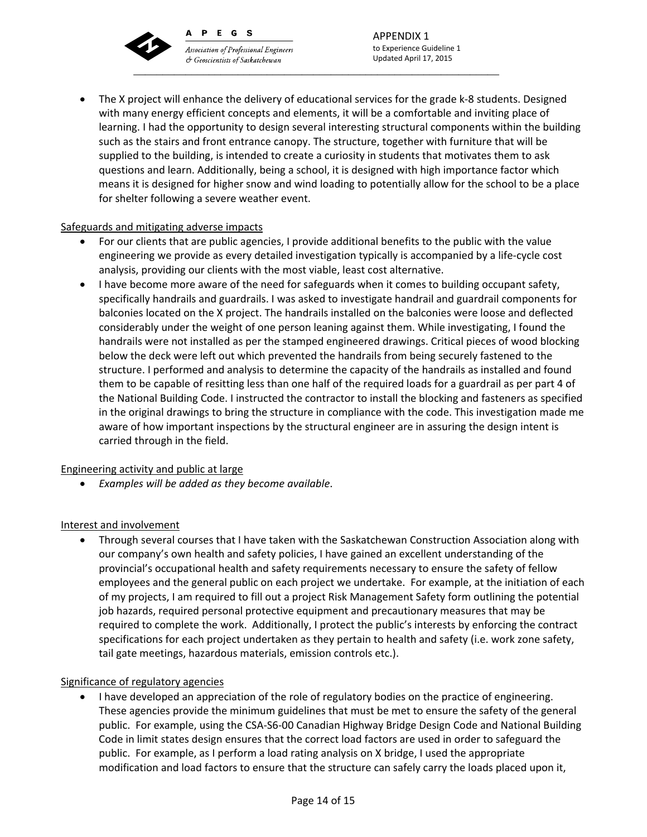PEGS  $\mathbf{A}$ **Association of Professional Engineers** 

& Geoscientists of Saskatchewan



APPENDIX 1 to Experience Guideline 1 Updated April 17, 2015

 The X project will enhance the delivery of educational services for the grade k‐8 students. Designed with many energy efficient concepts and elements, it will be a comfortable and inviting place of learning. I had the opportunity to design several interesting structural components within the building such as the stairs and front entrance canopy. The structure, together with furniture that will be supplied to the building, is intended to create a curiosity in students that motivates them to ask questions and learn. Additionally, being a school, it is designed with high importance factor which means it is designed for higher snow and wind loading to potentially allow for the school to be a place for shelter following a severe weather event.

# Safeguards and mitigating adverse impacts

- For our clients that are public agencies, I provide additional benefits to the public with the value engineering we provide as every detailed investigation typically is accompanied by a life‐cycle cost analysis, providing our clients with the most viable, least cost alternative.
- I have become more aware of the need for safeguards when it comes to building occupant safety, specifically handrails and guardrails. I was asked to investigate handrail and guardrail components for balconies located on the X project. The handrails installed on the balconies were loose and deflected considerably under the weight of one person leaning against them. While investigating, I found the handrails were not installed as per the stamped engineered drawings. Critical pieces of wood blocking below the deck were left out which prevented the handrails from being securely fastened to the structure. I performed and analysis to determine the capacity of the handrails as installed and found them to be capable of resitting less than one half of the required loads for a guardrail as per part 4 of the National Building Code. I instructed the contractor to install the blocking and fasteners as specified in the original drawings to bring the structure in compliance with the code. This investigation made me aware of how important inspections by the structural engineer are in assuring the design intent is carried through in the field.

# Engineering activity and public at large

*Examples will be added as they become available*.

# Interest and involvement

 Through several courses that I have taken with the Saskatchewan Construction Association along with our company's own health and safety policies, I have gained an excellent understanding of the provincial's occupational health and safety requirements necessary to ensure the safety of fellow employees and the general public on each project we undertake. For example, at the initiation of each of my projects, I am required to fill out a project Risk Management Safety form outlining the potential job hazards, required personal protective equipment and precautionary measures that may be required to complete the work. Additionally, I protect the public's interests by enforcing the contract specifications for each project undertaken as they pertain to health and safety (i.e. work zone safety, tail gate meetings, hazardous materials, emission controls etc.).

# Significance of regulatory agencies

 I have developed an appreciation of the role of regulatory bodies on the practice of engineering. These agencies provide the minimum guidelines that must be met to ensure the safety of the general public. For example, using the CSA‐S6‐00 Canadian Highway Bridge Design Code and National Building Code in limit states design ensures that the correct load factors are used in order to safeguard the public. For example, as I perform a load rating analysis on X bridge, I used the appropriate modification and load factors to ensure that the structure can safely carry the loads placed upon it,